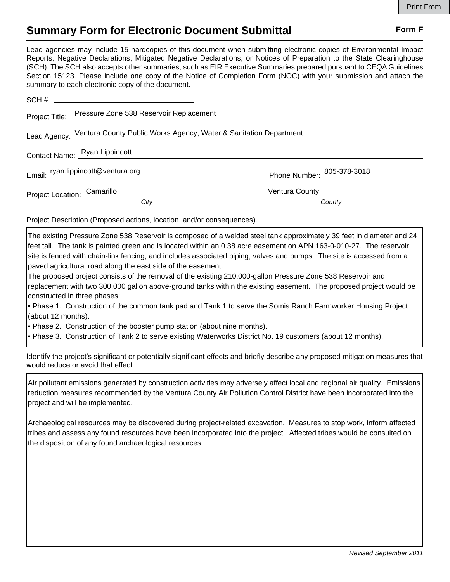## **Summary Form for Electronic Document Submittal Form F Form F**

Lead agencies may include 15 hardcopies of this document when submitting electronic copies of Environmental Impact Reports, Negative Declarations, Mitigated Negative Declarations, or Notices of Preparation to the State Clearinghouse (SCH). The SCH also accepts other summaries, such as EIR Executive Summaries prepared pursuant to CEQA Guidelines Section 15123. Please include one copy of the Notice of Completion Form (NOC) with your submission and attach the summary to each electronic copy of the document.

|                                                                                | Project Title: Pressure Zone 538 Reservoir Replacement |                            |
|--------------------------------------------------------------------------------|--------------------------------------------------------|----------------------------|
| Lead Agency: Ventura County Public Works Agency, Water & Sanitation Department |                                                        |                            |
| Contact Name: Ryan Lippincott                                                  |                                                        |                            |
|                                                                                | Email: ryan.lippincott@ventura.org                     | Phone Number: 205-378-3018 |
| Project Location: Camarillo                                                    |                                                        | <b>Ventura County</b>      |
|                                                                                | City                                                   | County                     |

Project Description (Proposed actions, location, and/or consequences).

The existing Pressure Zone 538 Reservoir is composed of a welded steel tank approximately 39 feet in diameter and 24 feet tall. The tank is painted green and is located within an 0.38 acre easement on APN 163-0-010-27. The reservoir site is fenced with chain-link fencing, and includes associated piping, valves and pumps. The site is accessed from a paved agricultural road along the east side of the easement.

The proposed project consists of the removal of the existing 210,000-gallon Pressure Zone 538 Reservoir and replacement with two 300,000 gallon above-ground tanks within the existing easement. The proposed project would be constructed in three phases:

• Phase 1. Construction of the common tank pad and Tank 1 to serve the Somis Ranch Farmworker Housing Project (about 12 months).

• Phase 2. Construction of the booster pump station (about nine months).

• Phase 3. Construction of Tank 2 to serve existing Waterworks District No. 19 customers (about 12 months).

Identify the project's significant or potentially significant effects and briefly describe any proposed mitigation measures that would reduce or avoid that effect.

Air pollutant emissions generated by construction activities may adversely affect local and regional air quality. Emissions reduction measures recommended by the Ventura County Air Pollution Control District have been incorporated into the project and will be implemented.

Archaeological resources may be discovered during project-related excavation. Measures to stop work, inform affected tribes and assess any found resources have been incorporated into the project. Affected tribes would be consulted on the disposition of any found archaeological resources.